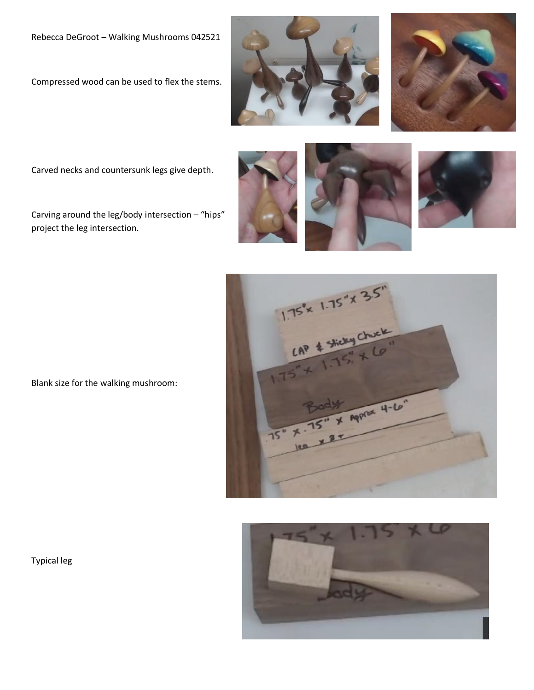Compressed wood can be used to flex the stems.





Carved necks and countersunk legs give depth.

Carving around the leg/body intersection – "hips" project the leg intersection.









Blank size for the walking mushroom:

Typical leg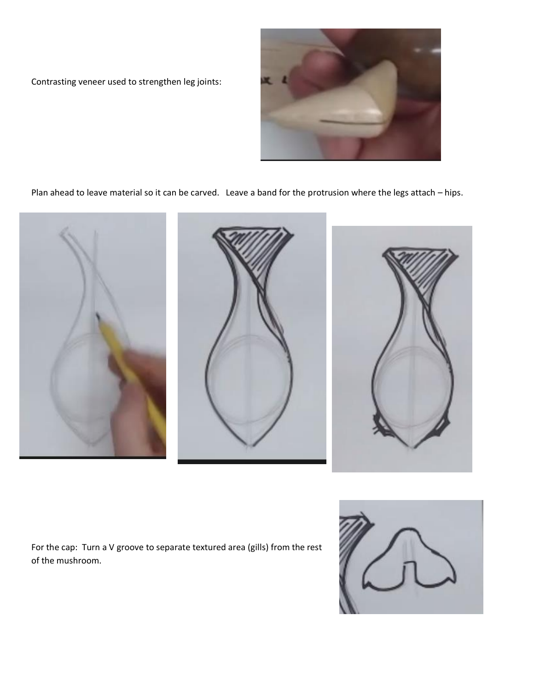



Plan ahead to leave material so it can be carved. Leave a band for the protrusion where the legs attach – hips.



For the cap: Turn a V groove to separate textured area (gills) from the rest of the mushroom.

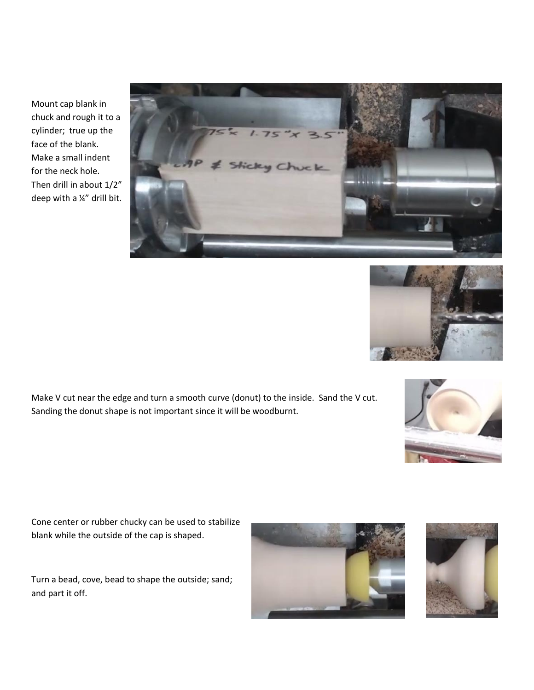Mount cap blank in chuck and rough it to a cylinder; true up the face of the blank. Make a small indent for the neck hole. Then drill in about 1/2" deep with a ¼" drill bit.





Make V cut near the edge and turn a smooth curve (donut) to the inside. Sand the V cut. Sanding the donut shape is not important since it will be woodburnt.



Cone center or rubber chucky can be used to stabilize blank while the outside of the cap is shaped.

Turn a bead, cove, bead to shape the outside; sand; and part it off.



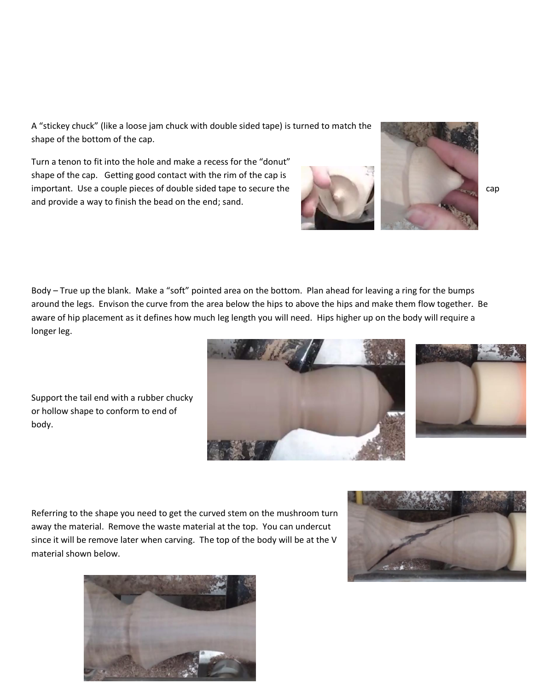A "stickey chuck" (like a loose jam chuck with double sided tape) is turned to match the shape of the bottom of the cap.

Turn a tenon to fit into the hole and make a recess for the "donut" shape of the cap. Getting good contact with the rim of the cap is important. Use a couple pieces of double sided tape to secure the capacity of the capacity of capacity of the cap and provide a way to finish the bead on the end; sand.

Body – True up the blank. Make a "soft" pointed area on the bottom. Plan ahead for leaving a ring for the bumps around the legs. Envison the curve from the area below the hips to above the hips and make them flow together. Be aware of hip placement as it defines how much leg length you will need. Hips higher up on the body will require a longer leg.

Support the tail end with a rubber chucky or hollow shape to conform to end of body.

Referring to the shape you need to get the curved stem on the mushroom turn away the material. Remove the waste material at the top. You can undercut since it will be remove later when carving. The top of the body will be at the V material shown below.











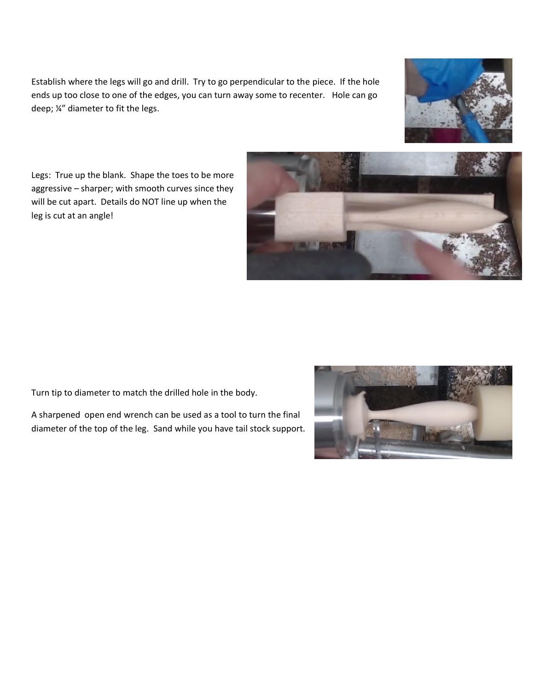Establish where the legs will go and drill. Try to go perpendicular to the piece. If the hole ends up too close to one of the edges, you can turn away some to recenter. Hole can go deep; ¼" diameter to fit the legs.



Legs: True up the blank. Shape the toes to be more aggressive – sharper; with smooth curves since they will be cut apart. Details do NOT line up when the leg is cut at an angle!



Turn tip to diameter to match the drilled hole in the body.

A sharpened open end wrench can be used as a tool to turn the final diameter of the top of the leg. Sand while you have tail stock support.

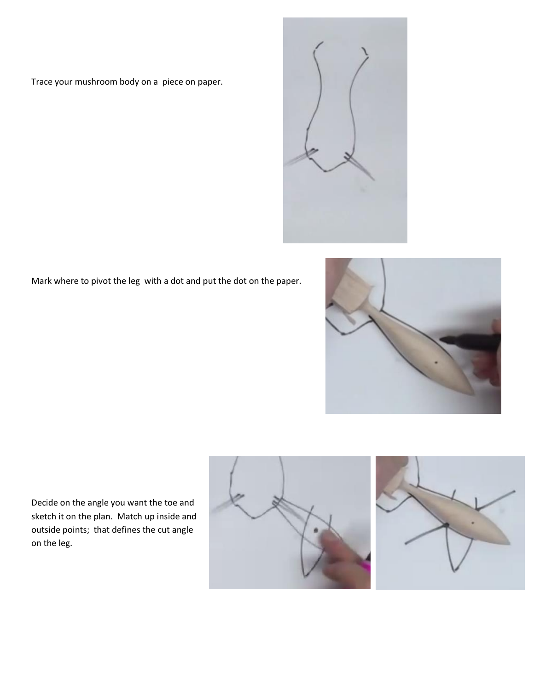Trace your mushroom body on a piece on paper.



Mark where to pivot the leg with a dot and put the dot on the paper.



Decide on the angle you want the toe and sketch it on the plan. Match up inside and outside points; that defines the cut angle on the leg.



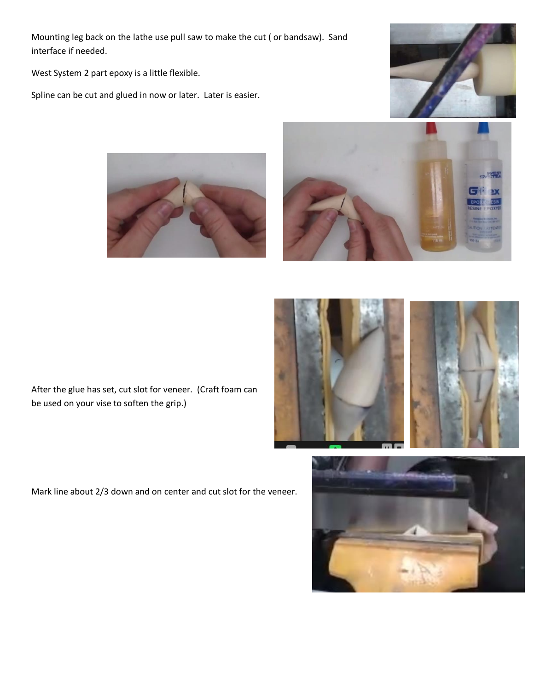Mounting leg back on the lathe use pull saw to make the cut ( or bandsaw). Sand interface if needed.

West System 2 part epoxy is a little flexible.

Spline can be cut and glued in now or later. Later is easier.







After the glue has set, cut slot for veneer. (Craft foam can be used on your vise to soften the grip.)

Mark line about 2/3 down and on center and cut slot for the veneer.



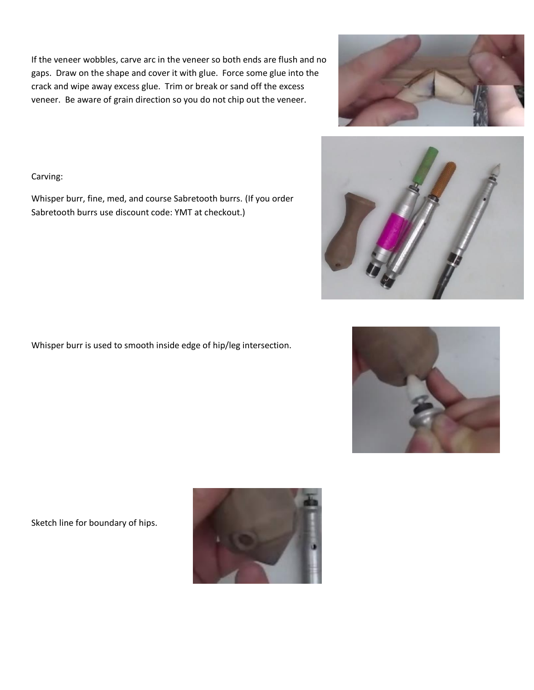If the veneer wobbles, carve arc in the veneer so both ends are flush and no gaps. Draw on the shape and cover it with glue. Force some glue into the crack and wipe away excess glue. Trim or break or sand off the excess veneer. Be aware of grain direction so you do not chip out the veneer.

Carving:

Whisper burr, fine, med, and course Sabretooth burrs. (If you order Sabretooth burrs use discount code: YMT at checkout.)

Whisper burr is used to smooth inside edge of hip/leg intersection.

Sketch line for boundary of hips.







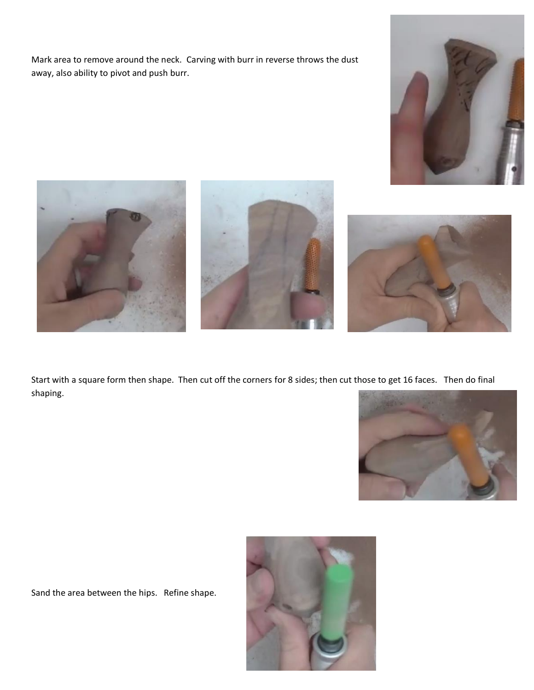Mark area to remove around the neck. Carving with burr in reverse throws the dust away, also ability to pivot and push burr.









Start with a square form then shape. Then cut off the corners for 8 sides; then cut those to get 16 faces. Then do final shaping.



Sand the area between the hips. Refine shape.

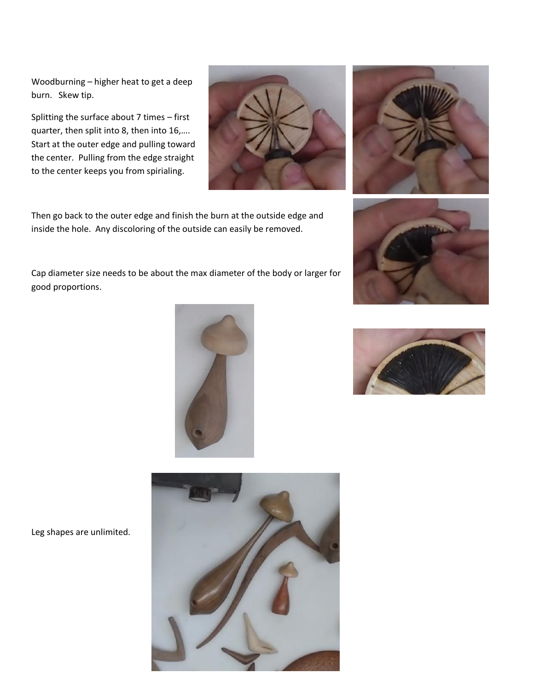Woodburning – higher heat to get a deep burn. Skew tip.

Splitting the surface about 7 times – first quarter, then split into 8, then into 16,…. Start at the outer edge and pulling toward the center. Pulling from the edge straight to the center keeps you from spirialing.

Then go back to the outer edge and finish the burn at the outside edge and inside the hole. Any discoloring of the outside can easily be removed.

Cap diameter size needs to be about the max diameter of the body or larger for good proportions.

Leg shapes are unlimited.